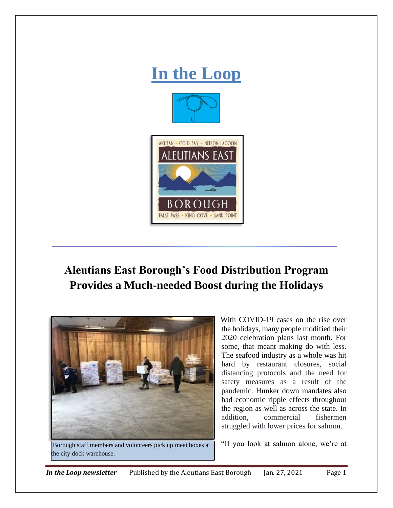

## **Aleutians East Borough's Food Distribution Program Provides a Much-needed Boost during the Holidays**



Borough staff members and volunteers pick up meat boxes at "If you look at salmon alone, we're at the city dock warehouse.

With COVID-19 cases on the rise over the holidays, many people modified their 2020 celebration plans last month. For some, that meant making do with less. The seafood industry as a whole was hit hard by restaurant closures, social distancing protocols and the need for safety measures as a result of the pandemic. Hunker down mandates also had economic ripple effects throughout the region as well as across the state. In addition, commercial fishermen struggled with lower prices for salmon.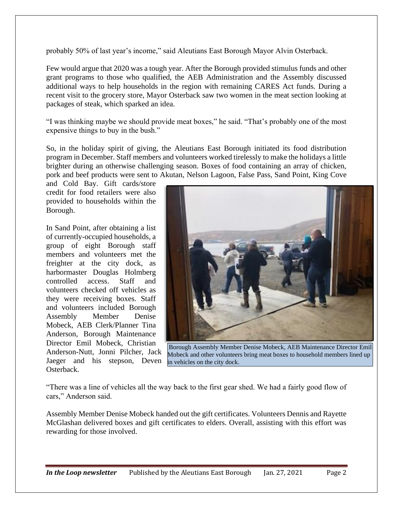probably 50% of last year's income," said Aleutians East Borough Mayor Alvin Osterback.

Few would argue that 2020 was a tough year. After the Borough provided stimulus funds and other grant programs to those who qualified, the AEB Administration and the Assembly discussed additional ways to help households in the region with remaining CARES Act funds. During a recent visit to the grocery store, Mayor Osterback saw two women in the meat section looking at packages of steak, which sparked an idea.

"I was thinking maybe we should provide meat boxes," he said. "That's probably one of the most expensive things to buy in the bush."

So, in the holiday spirit of giving, the Aleutians East Borough initiated its food distribution program in December. Staff members and volunteers worked tirelessly to make the holidays a little brighter during an otherwise challenging season. Boxes of food containing an array of chicken, pork and beef products were sent to Akutan, Nelson Lagoon, False Pass, Sand Point, King Cove

and Cold Bay. Gift cards/store credit for food retailers were also provided to households within the Borough.

In Sand Point, after obtaining a list of currently-occupied households, a group of eight Borough staff members and volunteers met the freighter at the city dock, as harbormaster Douglas Holmberg controlled access. Staff and volunteers checked off vehicles as they were receiving boxes. Staff and volunteers included Borough Assembly Member Denise Mobeck, AEB Clerk/Planner Tina Anderson, Borough Maintenance Director Emil Mobeck, Christian Anderson-Nutt, Jonni Pilcher, Jack Jaeger and his stepson, Deven Osterback.



Borough Assembly Member Denise Mobeck, AEB Maintenance Director Emil Mobeck and other volunteers bring meat boxes to household members lined up in vehicles on the city dock.

"There was a line of vehicles all the way back to the first gear shed. We had a fairly good flow of cars," Anderson said.

Assembly Member Denise Mobeck handed out the gift certificates. Volunteers Dennis and Rayette McGlashan delivered boxes and gift certificates to elders. Overall, assisting with this effort was rewarding for those involved.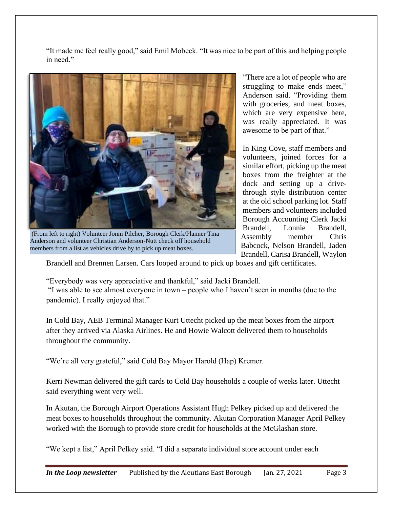"It made me feel really good," said Emil Mobeck. "It was nice to be part of this and helping people in need."



(From left to right) Volunteer Jonni Pilcher, Borough Clerk/Planner Tina Anderson and volunteer Christian Anderson-Nutt check off household members from a list as vehicles drive by to pick up meat boxes.

"There are a lot of people who are struggling to make ends meet," Anderson said. "Providing them with groceries, and meat boxes, which are very expensive here, was really appreciated. It was awesome to be part of that."

In King Cove, staff members and volunteers, joined forces for a similar effort, picking up the meat boxes from the freighter at the dock and setting up a drivethrough style distribution center at the old school parking lot. Staff members and volunteers included Borough Accounting Clerk Jacki Brandell, Lonnie Brandell, Assembly member Chris Babcock, Nelson Brandell, Jaden Brandell, Carisa Brandell, Waylon

Brandell and Brennen Larsen. Cars looped around to pick up boxes and gift certificates.

"Everybody was very appreciative and thankful," said Jacki Brandell.

"I was able to see almost everyone in town – people who I haven't seen in months (due to the pandemic). I really enjoyed that."

In Cold Bay, AEB Terminal Manager Kurt Uttecht picked up the meat boxes from the airport after they arrived via Alaska Airlines. He and Howie Walcott delivered them to households throughout the community.

"We're all very grateful," said Cold Bay Mayor Harold (Hap) Kremer.

Kerri Newman delivered the gift cards to Cold Bay households a couple of weeks later. Uttecht said everything went very well.

In Akutan, the Borough Airport Operations Assistant Hugh Pelkey picked up and delivered the meat boxes to households throughout the community. Akutan Corporation Manager April Pelkey worked with the Borough to provide store credit for households at the McGlashan store.

"We kept a list," April Pelkey said. "I did a separate individual store account under each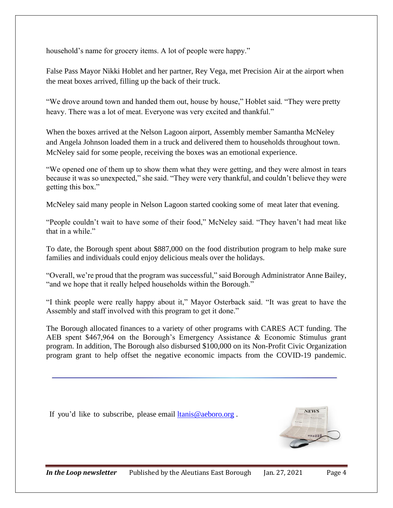household's name for grocery items. A lot of people were happy."

False Pass Mayor Nikki Hoblet and her partner, Rey Vega, met Precision Air at the airport when the meat boxes arrived, filling up the back of their truck.

"We drove around town and handed them out, house by house," Hoblet said. "They were pretty heavy. There was a lot of meat. Everyone was very excited and thankful."

When the boxes arrived at the Nelson Lagoon airport, Assembly member Samantha McNeley and Angela Johnson loaded them in a truck and delivered them to households throughout town. McNeley said for some people, receiving the boxes was an emotional experience.

"We opened one of them up to show them what they were getting, and they were almost in tears because it was so unexpected," she said. "They were very thankful, and couldn't believe they were getting this box."

McNeley said many people in Nelson Lagoon started cooking some of meat later that evening.

"People couldn't wait to have some of their food," McNeley said. "They haven't had meat like that in a while."

To date, the Borough spent about \$887,000 on the food distribution program to help make sure families and individuals could enjoy delicious meals over the holidays.

"Overall, we're proud that the program was successful," said Borough Administrator Anne Bailey, "and we hope that it really helped households within the Borough."

"I think people were really happy about it," Mayor Osterback said. "It was great to have the Assembly and staff involved with this program to get it done."

The Borough allocated finances to a variety of other programs with CARES ACT funding. The AEB spent \$467,964 on the Borough's Emergency Assistance & Economic Stimulus grant program. In addition, The Borough also disbursed \$100,000 on its Non-Profit Civic Organization program grant to help offset the negative economic impacts from the COVID-19 pandemic.

If you'd like to subscribe, please email [ltanis@aeboro.org](mailto:ltanis@aeboro.org) .